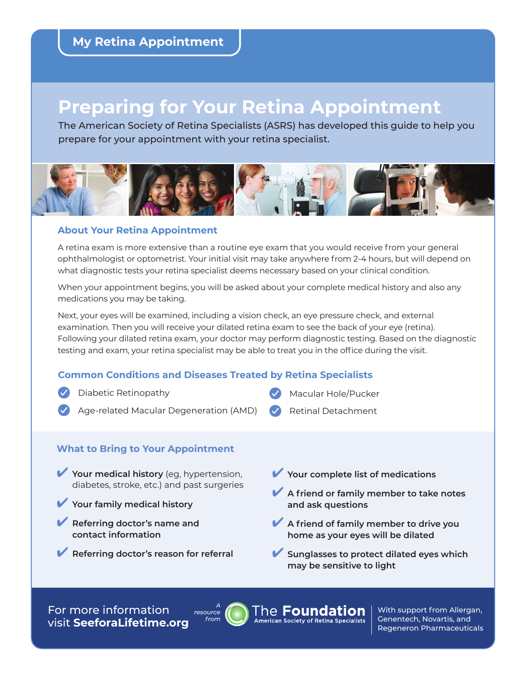# **Preparing for Your Retina Appointment**

The American Society of Retina Specialists (ASRS) has developed this guide to help you prepare for your appointment with your retina specialist.



#### **About Your Retina Appointment**

A retina exam is more extensive than a routine eye exam that you would receive from your general ophthalmologist or optometrist. Your initial visit may take anywhere from 2-4 hours, but will depend on what diagnostic tests your retina specialist deems necessary based on your clinical condition.

When your appointment begins, you will be asked about your complete medical history and also any medications you may be taking.

Next, your eyes will be examined, including a vision check, an eye pressure check, and external examination. Then you will receive your dilated retina exam to see the back of your eye (retina). Following your dilated retina exam, your doctor may perform diagnostic testing. Based on the diagnostic testing and exam, your retina specialist may be able to treat you in the office during the visit.

### **Common Conditions and Diseases Treated by Retina Specialists**

- Diabetic Retinopathy
- Age-related Macular Degeneration (AMD)

### **What to Bring to Your Appointment**

- Your medical history (eg, hypertension, diabetes, stroke, etc.) and past surgeries
- Your family medical history
- ✔ **Referring doctor's name and contact information**
- ✔ **Referring doctor's reason for referral**

Your complete list of medications

Macular Hole/Pucker

Retinal Detachment

- **▶ A friend or family member to take notes and ask questions**
- ✔ **A friend of family member to drive you home as your eyes will be dilated**
- ✔ **Sunglasses to protect dilated eyes which may be sensitive to light**

For more information visit **[SeeforaLifetime.org](http://SeeforaLifetime.org)**



The **Foundation American Society of Retina Specialists**  With support from Allergan, Genentech, Novartis, and Regeneron Pharmaceuticals